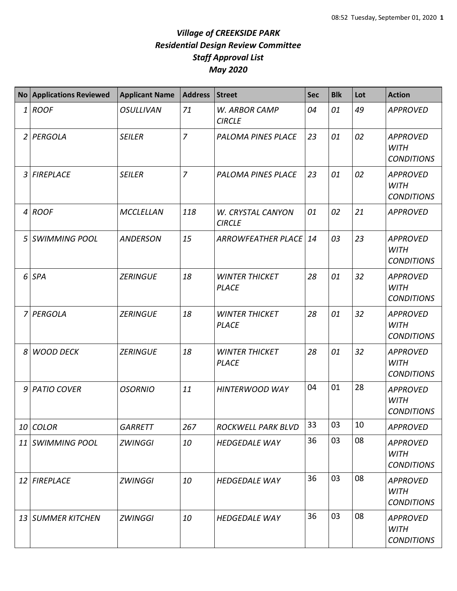|   | No Applications Reviewed | <b>Applicant Name</b> | <b>Address</b> | Street                                    | <b>Sec</b> | <b>Blk</b> | Lot | <b>Action</b>                                       |
|---|--------------------------|-----------------------|----------------|-------------------------------------------|------------|------------|-----|-----------------------------------------------------|
|   | $1$ ROOF                 | <b>OSULLIVAN</b>      | 71             | W. ARBOR CAMP<br><b>CIRCLE</b>            | 04         | 01         | 49  | <b>APPROVED</b>                                     |
|   | 2 PERGOLA                | <b>SEILER</b>         | $\overline{7}$ | <b>PALOMA PINES PLACE</b>                 | 23         | 01         | 02  | <b>APPROVED</b><br><b>WITH</b><br><b>CONDITIONS</b> |
|   | 3 FIREPLACE              | <b>SEILER</b>         | $\overline{z}$ | PALOMA PINES PLACE                        | 23         | 01         | 02  | <b>APPROVED</b><br><b>WITH</b><br><b>CONDITIONS</b> |
|   | $4$ ROOF                 | <b>MCCLELLAN</b>      | 118            | <b>W. CRYSTAL CANYON</b><br><b>CIRCLE</b> | 01         | 02         | 21  | <b>APPROVED</b>                                     |
|   | 5 SWIMMING POOL          | <b>ANDERSON</b>       | 15             | <b>ARROWFEATHER PLACE</b>                 | 14         | 03         | 23  | <b>APPROVED</b><br><b>WITH</b><br><b>CONDITIONS</b> |
|   | 6 SPA                    | <b>ZERINGUE</b>       | 18             | <b>WINTER THICKET</b><br><b>PLACE</b>     | 28         | 01         | 32  | <b>APPROVED</b><br><b>WITH</b><br><b>CONDITIONS</b> |
|   | 7 PERGOLA                | <b>ZERINGUE</b>       | 18             | <b>WINTER THICKET</b><br><b>PLACE</b>     | 28         | 01         | 32  | <b>APPROVED</b><br><b>WITH</b><br><b>CONDITIONS</b> |
| 8 | <b>WOOD DECK</b>         | <b>ZERINGUE</b>       | 18             | <b>WINTER THICKET</b><br><b>PLACE</b>     | 28         | 01         | 32  | <b>APPROVED</b><br><b>WITH</b><br><b>CONDITIONS</b> |
|   | 9 PATIO COVER            | <b>OSORNIO</b>        | 11             | <b>HINTERWOOD WAY</b>                     | 04         | 01         | 28  | <b>APPROVED</b><br><b>WITH</b><br><b>CONDITIONS</b> |
|   | 10 COLOR                 | <b>GARRETT</b>        | 267            | ROCKWELL PARK BLVD                        | 33         | 03         | 10  | <b>APPROVED</b>                                     |
|   | 11 SWIMMING POOL         | <b>ZWINGGI</b>        | 10             | <b>HEDGEDALE WAY</b>                      | 36         | 03         | 08  | <b>APPROVED</b><br><b>WITH</b><br><b>CONDITIONS</b> |
|   | 12 FIREPLACE             | <b>ZWINGGI</b>        | 10             | <b>HEDGEDALE WAY</b>                      | 36         | 03         | 08  | <b>APPROVED</b><br><b>WITH</b><br><b>CONDITIONS</b> |
|   | 13 SUMMER KITCHEN        | <b>ZWINGGI</b>        | 10             | <b>HEDGEDALE WAY</b>                      | 36         | 03         | 08  | <b>APPROVED</b><br><b>WITH</b><br><b>CONDITIONS</b> |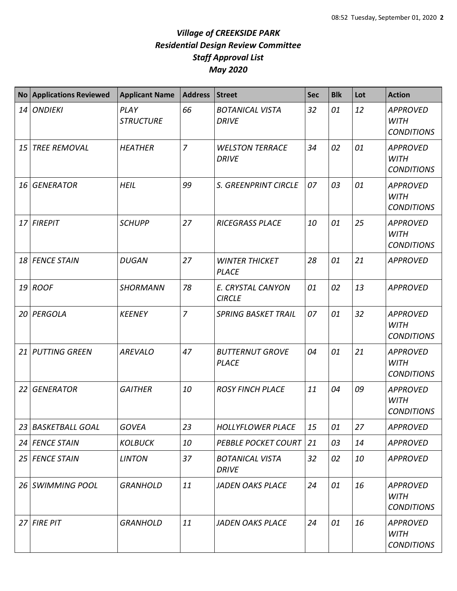| <b>No</b> | <b>Applications Reviewed</b> | <b>Applicant Name</b>    | <b>Address</b> | <b>Street</b>                          | <b>Sec</b> | <b>Blk</b> | Lot | <b>Action</b>                                       |
|-----------|------------------------------|--------------------------|----------------|----------------------------------------|------------|------------|-----|-----------------------------------------------------|
| 14        | <b>ONDIEKI</b>               | PLAY<br><b>STRUCTURE</b> | 66             | <b>BOTANICAL VISTA</b><br><b>DRIVE</b> | 32         | 01         | 12  | <b>APPROVED</b><br><b>WITH</b><br><b>CONDITIONS</b> |
| 15        | <b>TREE REMOVAL</b>          | <b>HEATHER</b>           | $\overline{7}$ | <b>WELSTON TERRACE</b><br><b>DRIVE</b> | 34         | 02         | 01  | <b>APPROVED</b><br><b>WITH</b><br><b>CONDITIONS</b> |
| 16        | <b>GENERATOR</b>             | <b>HEIL</b>              | 99             | S. GREENPRINT CIRCLE                   | 07         | 03         | 01  | <b>APPROVED</b><br><b>WITH</b><br><b>CONDITIONS</b> |
|           | 17 FIREPIT                   | <b>SCHUPP</b>            | 27             | <b>RICEGRASS PLACE</b>                 | 10         | 01         | 25  | <b>APPROVED</b><br><b>WITH</b><br><b>CONDITIONS</b> |
| 18        | <b>FENCE STAIN</b>           | <b>DUGAN</b>             | 27             | <b>WINTER THICKET</b><br><b>PLACE</b>  | 28         | 01         | 21  | <b>APPROVED</b>                                     |
| 19        | <b>ROOF</b>                  | <b>SHORMANN</b>          | 78             | E. CRYSTAL CANYON<br><b>CIRCLE</b>     | 01         | 02         | 13  | <b>APPROVED</b>                                     |
| 20        | PERGOLA                      | <b>KEENEY</b>            | $\overline{z}$ | <b>SPRING BASKET TRAIL</b>             | 07         | 01         | 32  | <b>APPROVED</b><br><b>WITH</b><br><b>CONDITIONS</b> |
| 21        | <b>PUTTING GREEN</b>         | <b>AREVALO</b>           | 47             | <b>BUTTERNUT GROVE</b><br><b>PLACE</b> | 04         | 01         | 21  | <b>APPROVED</b><br><b>WITH</b><br><b>CONDITIONS</b> |
| 22        | <b>GENERATOR</b>             | <b>GAITHER</b>           | 10             | <b>ROSY FINCH PLACE</b>                | 11         | 04         | 09  | <b>APPROVED</b><br><b>WITH</b><br><b>CONDITIONS</b> |
| 23 I      | <b>BASKETBALL GOAL</b>       | <b>GOVEA</b>             | 23             | <b>HOLLYFLOWER PLACE</b>               | 15         | 01         | 27  | <b>APPROVED</b>                                     |
|           | 24 FENCE STAIN               | <b>KOLBUCK</b>           | 10             | <b>PEBBLE POCKET COURT</b>             | 21         | 03         | 14  | <b>APPROVED</b>                                     |
|           | 25 FENCE STAIN               | <b>LINTON</b>            | 37             | <b>BOTANICAL VISTA</b><br><b>DRIVE</b> | 32         | 02         | 10  | <b>APPROVED</b>                                     |
| 26        | <b>SWIMMING POOL</b>         | <b>GRANHOLD</b>          | 11             | <b>JADEN OAKS PLACE</b>                | 24         | 01         | 16  | <b>APPROVED</b><br><b>WITH</b><br><b>CONDITIONS</b> |
| 27        | <b>FIRE PIT</b>              | <b>GRANHOLD</b>          | 11             | <b>JADEN OAKS PLACE</b>                | 24         | 01         | 16  | <b>APPROVED</b><br><b>WITH</b><br><b>CONDITIONS</b> |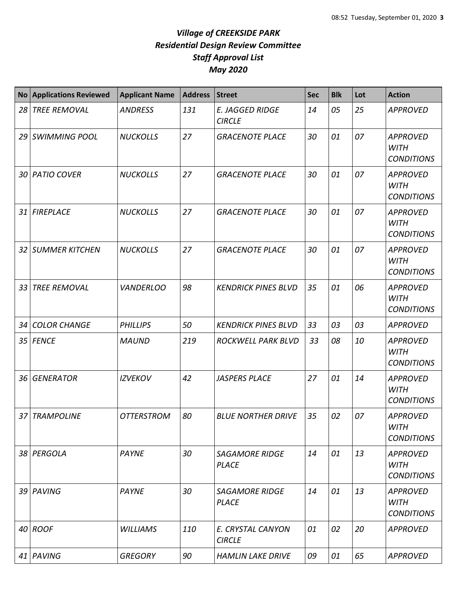| <b>No</b>       | <b>Applications Reviewed</b> | <b>Applicant Name</b> | <b>Address</b> | <b>Street</b>                           | <b>Sec</b> | <b>Blk</b> | Lot | <b>Action</b>                                       |
|-----------------|------------------------------|-----------------------|----------------|-----------------------------------------|------------|------------|-----|-----------------------------------------------------|
| 28              | <b>TREE REMOVAL</b>          | <b>ANDRESS</b>        | 131            | <b>E. JAGGED RIDGE</b><br><b>CIRCLE</b> | 14         | 05         | 25  | <b>APPROVED</b>                                     |
| 29              | <b>SWIMMING POOL</b>         | <b>NUCKOLLS</b>       | 27             | <b>GRACENOTE PLACE</b>                  | 30         | 01         | 07  | <b>APPROVED</b><br><b>WITH</b><br><b>CONDITIONS</b> |
| 30 <sup>1</sup> | <b>PATIO COVER</b>           | <b>NUCKOLLS</b>       | 27             | <b>GRACENOTE PLACE</b>                  | 30         | 01         | 07  | <b>APPROVED</b><br><b>WITH</b><br><b>CONDITIONS</b> |
| 31              | <b>FIREPLACE</b>             | <b>NUCKOLLS</b>       | 27             | <b>GRACENOTE PLACE</b>                  | 30         | 01         | 07  | <b>APPROVED</b><br><b>WITH</b><br><b>CONDITIONS</b> |
| 32              | <b>SUMMER KITCHEN</b>        | <b>NUCKOLLS</b>       | 27             | <b>GRACENOTE PLACE</b>                  | 30         | 01         | 07  | <b>APPROVED</b><br><b>WITH</b><br><b>CONDITIONS</b> |
| 33              | <b>TREE REMOVAL</b>          | <b>VANDERLOO</b>      | 98             | <b>KENDRICK PINES BLVD</b>              | 35         | 01         | 06  | <b>APPROVED</b><br><b>WITH</b><br><b>CONDITIONS</b> |
| 34              | <b>COLOR CHANGE</b>          | <b>PHILLIPS</b>       | 50             | <b>KENDRICK PINES BLVD</b>              | 33         | 03         | 03  | <b>APPROVED</b>                                     |
| 35              | <b>FENCE</b>                 | <b>MAUND</b>          | 219            | ROCKWELL PARK BLVD                      | 33         | 08         | 10  | <b>APPROVED</b><br><b>WITH</b><br><b>CONDITIONS</b> |
| 36              | <b>GENERATOR</b>             | <b>IZVEKOV</b>        | 42             | <b>JASPERS PLACE</b>                    | 27         | 01         | 14  | <b>APPROVED</b><br><b>WITH</b><br><b>CONDITIONS</b> |
| 37              | <b>TRAMPOLINE</b>            | <b>OTTERSTROM</b>     | 80             | <b>BLUE NORTHER DRIVE</b>               | 35         | 02         | 07  | <b>APPROVED</b><br><b>WITH</b><br><b>CONDITIONS</b> |
| 38              | PERGOLA                      | <b>PAYNE</b>          | 30             | <b>SAGAMORE RIDGE</b><br><b>PLACE</b>   | 14         | 01         | 13  | <b>APPROVED</b><br><b>WITH</b><br><b>CONDITIONS</b> |
| 39              | PAVING                       | <b>PAYNE</b>          | 30             | <b>SAGAMORE RIDGE</b><br><b>PLACE</b>   | 14         | 01         | 13  | <b>APPROVED</b><br><b>WITH</b><br><b>CONDITIONS</b> |
|                 | $40$ ROOF                    | <b>WILLIAMS</b>       | 110            | E. CRYSTAL CANYON<br><b>CIRCLE</b>      | 01         | 02         | 20  | <b>APPROVED</b>                                     |
|                 | 41   PAVING                  | <b>GREGORY</b>        | 90             | <b>HAMLIN LAKE DRIVE</b>                | 09         | 01         | 65  | <b>APPROVED</b>                                     |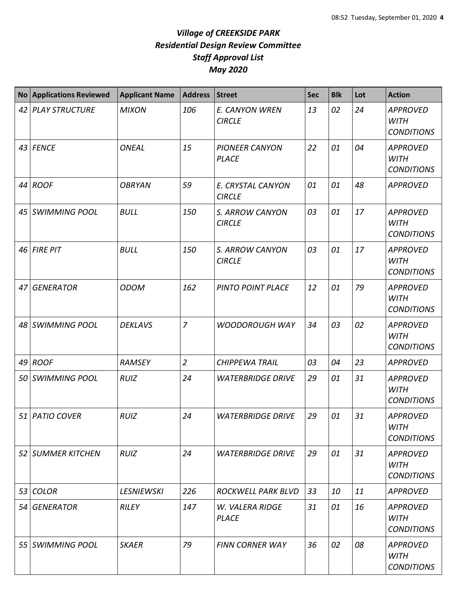|    | <b>No Applications Reviewed</b> | <b>Applicant Name</b> | <b>Address</b> | Street                                | <b>Sec</b> | <b>Blk</b> | Lot | <b>Action</b>                                       |
|----|---------------------------------|-----------------------|----------------|---------------------------------------|------------|------------|-----|-----------------------------------------------------|
| 42 | PLAY STRUCTURE                  | <b>MIXON</b>          | 106            | E. CANYON WREN<br><b>CIRCLE</b>       | 13         | 02         | 24  | <b>APPROVED</b><br><b>WITH</b><br><b>CONDITIONS</b> |
|    | 43 FENCE                        | <b>ONEAL</b>          | 15             | <b>PIONEER CANYON</b><br><b>PLACE</b> | 22         | 01         | 04  | <b>APPROVED</b><br><b>WITH</b><br><b>CONDITIONS</b> |
|    | 44 ROOF                         | <b>OBRYAN</b>         | 59             | E. CRYSTAL CANYON<br><b>CIRCLE</b>    | 01         | 01         | 48  | <b>APPROVED</b>                                     |
|    | 45 SWIMMING POOL                | <b>BULL</b>           | 150            | S. ARROW CANYON<br><b>CIRCLE</b>      | 03         | 01         | 17  | <b>APPROVED</b><br><b>WITH</b><br><b>CONDITIONS</b> |
| 46 | <b>FIRE PIT</b>                 | <b>BULL</b>           | 150            | S. ARROW CANYON<br><b>CIRCLE</b>      | 03         | 01         | 17  | <b>APPROVED</b><br><b>WITH</b><br><b>CONDITIONS</b> |
| 47 | <b>GENERATOR</b>                | <b>ODOM</b>           | 162            | PINTO POINT PLACE                     | 12         | 01         | 79  | <b>APPROVED</b><br><b>WITH</b><br><b>CONDITIONS</b> |
| 48 | <b>SWIMMING POOL</b>            | <b>DEKLAVS</b>        | $\overline{7}$ | <b>WOODOROUGH WAY</b>                 | 34         | 03         | 02  | <b>APPROVED</b><br><b>WITH</b><br><b>CONDITIONS</b> |
| 49 | <b>ROOF</b>                     | <b>RAMSEY</b>         | $\overline{2}$ | <b>CHIPPEWA TRAIL</b>                 | 03         | 04         | 23  | <b>APPROVED</b>                                     |
| 50 | <i><b>SWIMMING POOL</b></i>     | <b>RUIZ</b>           | 24             | <b>WATERBRIDGE DRIVE</b>              | 29         | 01         | 31  | <b>APPROVED</b><br><b>WITH</b><br><b>CONDITIONS</b> |
|    | 51 PATIO COVER                  | <b>RUIZ</b>           | 24             | <b>WATERBRIDGE DRIVE</b>              | 29         | 01         | 31  | <b>APPROVED</b><br>WITH<br><b>CONDITIONS</b>        |
|    | 52 SUMMER KITCHEN               | <b>RUIZ</b>           | 24             | <b>WATERBRIDGE DRIVE</b>              | 29         | 01         | 31  | <b>APPROVED</b><br><b>WITH</b><br><b>CONDITIONS</b> |
| 53 | <b>COLOR</b>                    | <b>LESNIEWSKI</b>     | 226            | <b>ROCKWELL PARK BLVD</b>             | 33         | 10         | 11  | APPROVED                                            |
|    | 54 GENERATOR                    | <b>RILEY</b>          | 147            | W. VALERA RIDGE<br><b>PLACE</b>       | 31         | 01         | 16  | <b>APPROVED</b><br><b>WITH</b><br><b>CONDITIONS</b> |
|    | 55   SWIMMING POOL              | <b>SKAER</b>          | 79             | <b>FINN CORNER WAY</b>                | 36         | 02         | 08  | <b>APPROVED</b><br><b>WITH</b><br><b>CONDITIONS</b> |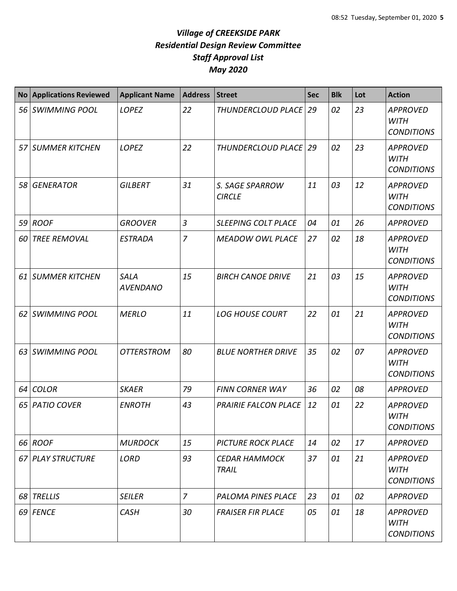|      | No Applications Reviewed | <b>Applicant Name</b>          | <b>Address</b> | <b>Street</b>                        | <b>Sec</b> | <b>Blk</b> | Lot | <b>Action</b>                                       |
|------|--------------------------|--------------------------------|----------------|--------------------------------------|------------|------------|-----|-----------------------------------------------------|
|      | 56 SWIMMING POOL         | <b>LOPEZ</b>                   | 22             | THUNDERCLOUD PLACE   29              |            | 02         | 23  | <b>APPROVED</b><br><b>WITH</b><br><b>CONDITIONS</b> |
|      | 57 SUMMER KITCHEN        | LOPEZ                          | 22             | THUNDERCLOUD PLACE   29              |            | 02         | 23  | <b>APPROVED</b><br><b>WITH</b><br><b>CONDITIONS</b> |
|      | 58 GENERATOR             | <b>GILBERT</b>                 | 31             | S. SAGE SPARROW<br><b>CIRCLE</b>     | 11         | 03         | 12  | <b>APPROVED</b><br><b>WITH</b><br><b>CONDITIONS</b> |
|      | 59 ROOF                  | <b>GROOVER</b>                 | $\overline{3}$ | <b>SLEEPING COLT PLACE</b>           | 04         | 01         | 26  | <b>APPROVED</b>                                     |
| 60 l | <b>TREE REMOVAL</b>      | <b>ESTRADA</b>                 | $\overline{7}$ | <b>MEADOW OWL PLACE</b>              | 27         | 02         | 18  | <b>APPROVED</b><br><b>WITH</b><br><b>CONDITIONS</b> |
|      | 61 SUMMER KITCHEN        | <b>SALA</b><br><b>AVENDANO</b> | 15             | <b>BIRCH CANOE DRIVE</b>             | 21         | 03         | 15  | <b>APPROVED</b><br><b>WITH</b><br><b>CONDITIONS</b> |
|      | 62 SWIMMING POOL         | <b>MERLO</b>                   | 11             | <b>LOG HOUSE COURT</b>               | 22         | 01         | 21  | <b>APPROVED</b><br><b>WITH</b><br><b>CONDITIONS</b> |
|      | 63 SWIMMING POOL         | <b>OTTERSTROM</b>              | 80             | <b>BLUE NORTHER DRIVE</b>            | 35         | 02         | 07  | <b>APPROVED</b><br><b>WITH</b><br><b>CONDITIONS</b> |
|      | 64 COLOR                 | <b>SKAER</b>                   | 79             | <b>FINN CORNER WAY</b>               | 36         | 02         | 08  | <b>APPROVED</b>                                     |
|      | 65   PATIO COVER         | <b>ENROTH</b>                  | 43             | PRAIRIE FALCON PLACE                 | 12         | 01         | 22  | <b>APPROVED</b><br><b>WITH</b><br><b>CONDITIONS</b> |
|      | 66 ROOF                  | <b>MURDOCK</b>                 | 15             | <b>PICTURE ROCK PLACE</b>            | 14         | 02         | 17  | <b>APPROVED</b>                                     |
|      | 67 PLAY STRUCTURE        | <b>LORD</b>                    | 93             | <b>CEDAR HAMMOCK</b><br><b>TRAIL</b> | 37         | 01         | 21  | <b>APPROVED</b><br><b>WITH</b><br><b>CONDITIONS</b> |
|      | 68 TRELLIS               | <b>SEILER</b>                  | $\overline{z}$ | <b>PALOMA PINES PLACE</b>            | 23         | 01         | 02  | <b>APPROVED</b>                                     |
|      | 69 FENCE                 | <b>CASH</b>                    | 30             | <b>FRAISER FIR PLACE</b>             | 05         | 01         | 18  | <b>APPROVED</b><br><b>WITH</b><br><b>CONDITIONS</b> |